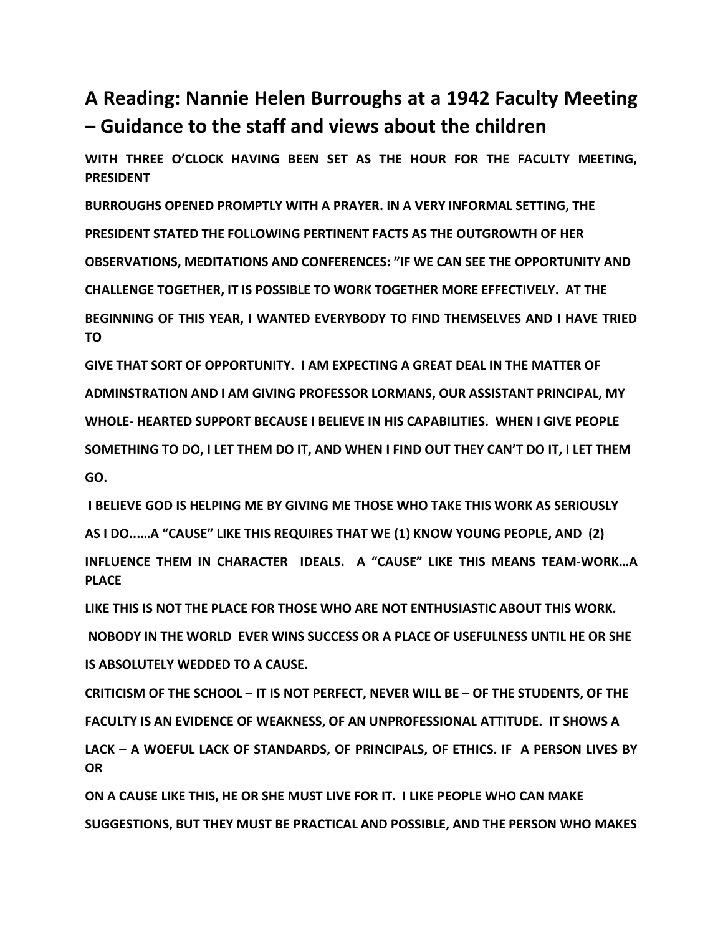## **A Reading: Nannie Helen Burroughs at a 1942 Faculty Meeting – Guidance to the staff and views about the children**

**WITH THREE O'CLOCK HAVING BEEN SET AS THE HOUR FOR THE FACULTY MEETING, PRESIDENT** 

**BURROUGHS OPENED PROMPTLY WITH A PRAYER. IN A VERY INFORMAL SETTING, THE PRESIDENT STATED THE FOLLOWING PERTINENT FACTS AS THE OUTGROWTH OF HER OBSERVATIONS, MEDITATIONS AND CONFERENCES: "IF WE CAN SEE THE OPPORTUNITY AND CHALLENGE TOGETHER, IT IS POSSIBLE TO WORK TOGETHER MORE EFFECTIVELY. AT THE BEGINNING OF THIS YEAR, I WANTED EVERYBODY TO FIND THEMSELVES AND I HAVE TRIED TO** 

**GIVE THAT SORT OF OPPORTUNITY. I AM EXPECTING A GREAT DEAL IN THE MATTER OF ADMINSTRATION AND I AM GIVING PROFESSOR LORMANS, OUR ASSISTANT PRINCIPAL, MY WHOLE- HEARTED SUPPORT BECAUSE I BELIEVE IN HIS CAPABILITIES. WHEN I GIVE PEOPLE SOMETHING TO DO, I LET THEM DO IT, AND WHEN I FIND OUT THEY CAN'T DO IT, I LET THEM GO.**

**I BELIEVE GOD IS HELPING ME BY GIVING ME THOSE WHO TAKE THIS WORK AS SERIOUSLY AS I DO...…A "CAUSE" LIKE THIS REQUIRES THAT WE (1) KNOW YOUNG PEOPLE, AND (2)** 

**INFLUENCE THEM IN CHARACTER IDEALS. A "CAUSE" LIKE THIS MEANS TEAM-WORK…A PLACE** 

**LIKE THIS IS NOT THE PLACE FOR THOSE WHO ARE NOT ENTHUSIASTIC ABOUT THIS WORK.** 

**NOBODY IN THE WORLD EVER WINS SUCCESS OR A PLACE OF USEFULNESS UNTIL HE OR SHE** 

**IS ABSOLUTELY WEDDED TO A CAUSE.** 

**CRITICISM OF THE SCHOOL – IT IS NOT PERFECT, NEVER WILL BE – OF THE STUDENTS, OF THE** 

**FACULTY IS AN EVIDENCE OF WEAKNESS, OF AN UNPROFESSIONAL ATTITUDE. IT SHOWS A** 

**LACK – A WOEFUL LACK OF STANDARDS, OF PRINCIPALS, OF ETHICS. IF A PERSON LIVES BY OR** 

**ON A CAUSE LIKE THIS, HE OR SHE MUST LIVE FOR IT. I LIKE PEOPLE WHO CAN MAKE SUGGESTIONS, BUT THEY MUST BE PRACTICAL AND POSSIBLE, AND THE PERSON WHO MAKES**